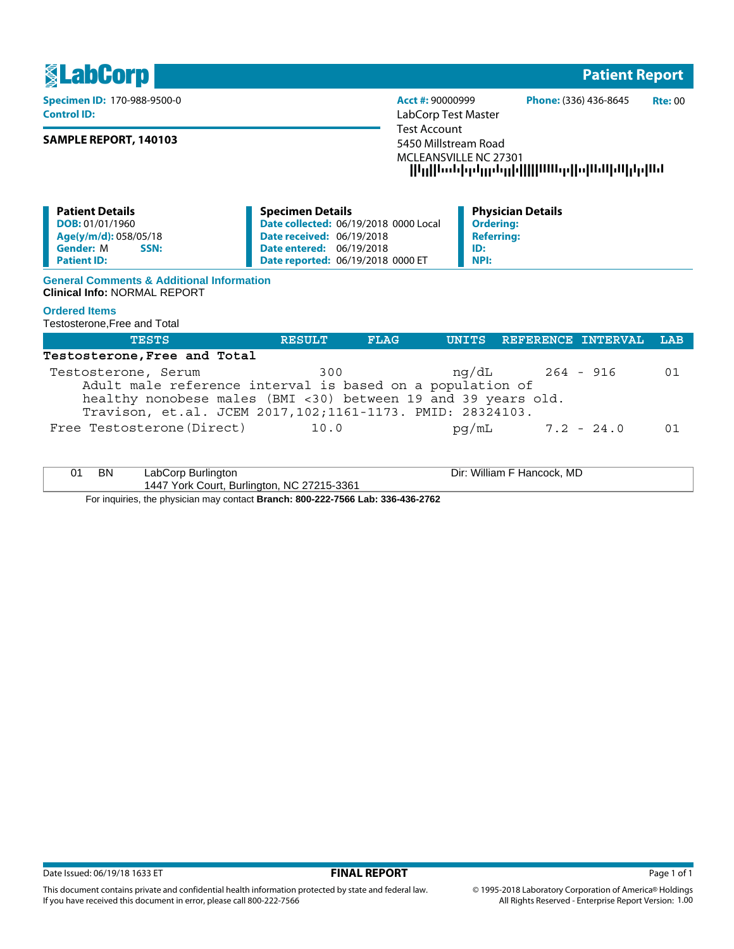**No. 2018 - Patient Report** Report Report Report Report Report Report Report Report Report Report Report Report

**Control ID:** LabCorp Test Master

## **SAMPLE REPORT, 140103**

**Specimen ID:** 170-988-9500-0 **Acct #:** 90000999 **Phone:** (336) 436-8645 **Rte:** 00 Test Account 5450 Millstream Road MCLEANSVILLE NC 27301 --------------------

| <b>Patient Details</b>   | <b>Specimen Details</b>                      | <b>Physician Details</b> |
|--------------------------|----------------------------------------------|--------------------------|
| DOB: 01/01/1960          | <b>Date collected: 06/19/2018 0000 Local</b> | Ordering:                |
| Age(y/m/d): 058/05/18    | <b>Date received: 06/19/2018</b>             | <b>Referring:</b>        |
| <b>Gender: M</b><br>SSN: | <b>Date entered: 06/19/2018</b>              | ID:                      |
| <b>Patient ID:</b>       | Date reported: 06/19/2018 0000 ET            | NPI:                     |
|                          |                                              |                          |

#### **General Comments & Additional Information Clinical Info:** NORMAL REPORT

## **Ordered Items**

Testosterone,Free and Total

| <b>TESTS</b>                                                  | RESULT | FLAG | UNITS REFERENCE INTERVAL | LAB |
|---------------------------------------------------------------|--------|------|--------------------------|-----|
| Testosterone, Free and Total                                  |        |      |                          |     |
| Testosterone, Serum                                           | 300    |      | ng/dL 264 - 916          | 01  |
| Adult male reference interval is based on a population of     |        |      |                          |     |
| healthy nonobese males (BMI <30) between 19 and 39 years old. |        |      |                          |     |
| Travison, et.al. JCEM 2017, 102; 1161-1173. PMID: 28324103.   |        |      |                          |     |
| Free Testosterone (Direct)                                    | 10.0   |      | $pq/mL$ 7.2 - 24.0       |     |
|                                                               |        |      |                          |     |

| ΒN | LabCorp Burlington                         | Dir: William F Hancock, MD |
|----|--------------------------------------------|----------------------------|
|    | 1447 York Court, Burlington, NC 27215-3361 |                            |

For inquiries, the physician may contact **Branch: 800-222-7566 Lab: 336-436-2762**

This document contains private and confidential health information protected by state and federal law.

If you have received this document in error, please call 800-222-7566